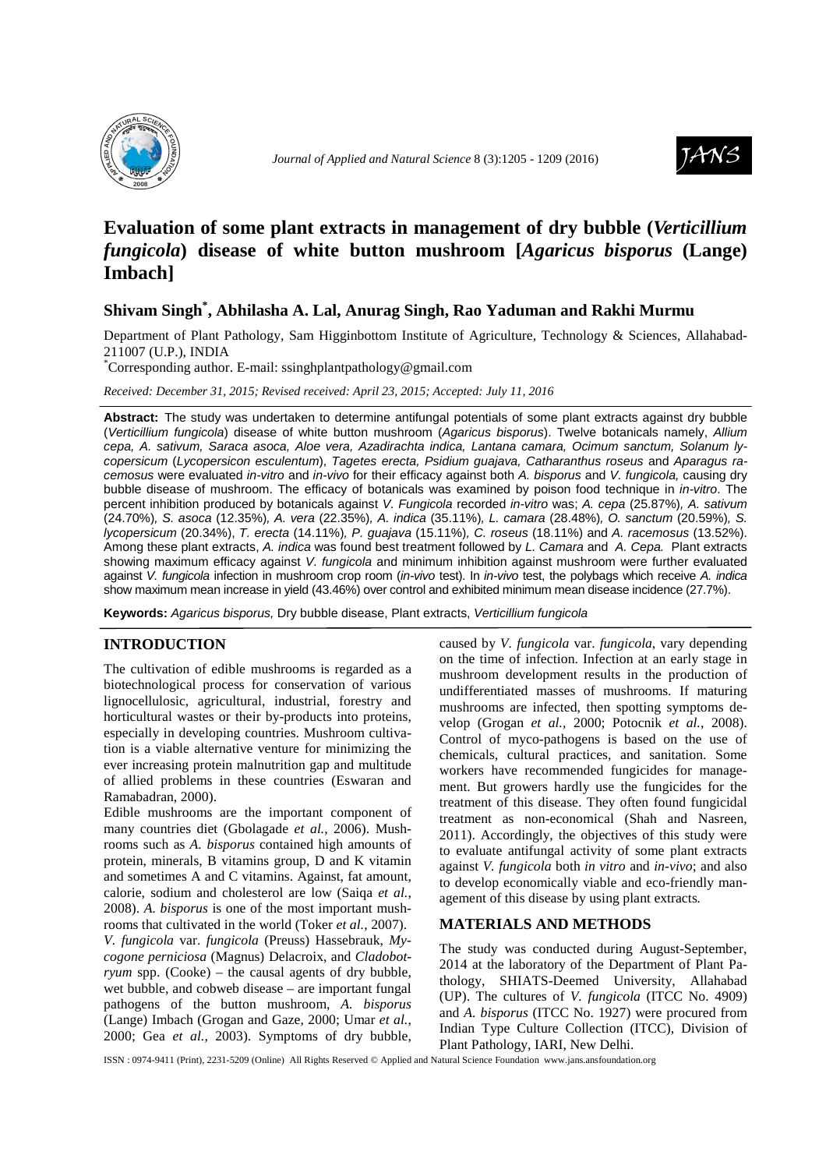



# **Evaluation of some plant extracts in management of dry bubble (***Verticillium fungicola***) disease of white button mushroom [***Agaricus bisporus* **(Lange) Imbach]**

## **Shivam Singh\* , Abhilasha A. Lal, Anurag Singh, Rao Yaduman and Rakhi Murmu**

Department of Plant Pathology, Sam Higginbottom Institute of Agriculture, Technology & Sciences, Allahabad-211007 (U.P.), INDIA

\*Corresponding author. E-mail: ssinghplantpathology@gmail.com

*Received: December 31, 2015; Revised received: April 23, 2015; Accepted: July 11, 2016* 

**Abstract:** The study was undertaken to determine antifungal potentials of some plant extracts against dry bubble (Verticillium fungicola) disease of white button mushroom (Agaricus bisporus). Twelve botanicals namely, Allium cepa, A. sativum, Saraca asoca, Aloe vera, Azadirachta indica, Lantana camara, Ocimum sanctum, Solanum lycopersicum (Lycopersicon esculentum), Tagetes erecta, Psidium guajava, Catharanthus roseus and Aparagus racemosus were evaluated in-vitro and in-vivo for their efficacy against both A. bisporus and V. fungicola, causing dry bubble disease of mushroom. The efficacy of botanicals was examined by poison food technique in in-vitro. The percent inhibition produced by botanicals against V. Fungicola recorded in-vitro was; A. cepa (25.87%), A. sativum (24.70%), S. asoca (12.35%), A. vera (22.35%), A. indica (35.11%), L. camara (28.48%), O. sanctum (20.59%), S. lycopersicum (20.34%), T. erecta (14.11%), P. guajava (15.11%), C. roseus (18.11%) and A. racemosus (13.52%). Among these plant extracts, A. indica was found best treatment followed by L. Camara and A. Cepa. Plant extracts showing maximum efficacy against V. fungicola and minimum inhibition against mushroom were further evaluated against V. fungicola infection in mushroom crop room (in-vivo test). In in-vivo test, the polybags which receive A. indica show maximum mean increase in yield (43.46%) over control and exhibited minimum mean disease incidence (27.7%).

**Keywords:** Agaricus bisporus, Dry bubble disease, Plant extracts, Verticillium fungicola

## **INTRODUCTION**

The cultivation of edible mushrooms is regarded as a biotechnological process for conservation of various lignocellulosic, agricultural, industrial, forestry and horticultural wastes or their by-products into proteins, especially in developing countries. Mushroom cultivation is a viable alternative venture for minimizing the ever increasing protein malnutrition gap and multitude of allied problems in these countries (Eswaran and Ramabadran, 2000).

Edible mushrooms are the important component of many countries diet (Gbolagade *et al.*, 2006). Mushrooms such as *A. bisporus* contained high amounts of protein, minerals, B vitamins group, D and K vitamin and sometimes A and C vitamins. Against, fat amount, calorie, sodium and cholesterol are low (Saiqa *et al.*, 2008). *A. bisporus* is one of the most important mushrooms that cultivated in the world (Toker *et al.*, 2007). *V. fungicola* var. *fungicola* (Preuss) Hassebrauk, *Mycogone perniciosa* (Magnus) Delacroix, and *Cladobotryum* spp. (Cooke) – the causal agents of dry bubble, wet bubble, and cobweb disease – are important fungal pathogens of the button mushroom, *A. bisporus*  (Lange) Imbach (Grogan and Gaze, 2000; Umar *et al.*, 2000; Gea *et al.*, 2003). Symptoms of dry bubble,

caused by *V. fungicola* var. *fungicola*, vary depending on the time of infection. Infection at an early stage in mushroom development results in the production of undifferentiated masses of mushrooms. If maturing mushrooms are infected, then spotting symptoms develop (Grogan *et al.*, 2000; Potocnik *et al.*, 2008). Control of myco-pathogens is based on the use of chemicals, cultural practices, and sanitation. Some workers have recommended fungicides for management. But growers hardly use the fungicides for the treatment of this disease. They often found fungicidal treatment as non-economical (Shah and Nasreen, 2011). Accordingly, the objectives of this study were to evaluate antifungal activity of some plant extracts against *V. fungicola* both *in vitro* and *in-vivo*; and also to develop economically viable and eco-friendly management of this disease by using plant extracts*.* 

### **MATERIALS AND METHODS**

The study was conducted during August-September, 2014 at the laboratory of the Department of Plant Pathology, SHIATS-Deemed University, Allahabad (UP). The cultures of *V. fungicola* (ITCC No. 4909) and *A. bisporus* (ITCC No. 1927) were procured from Indian Type Culture Collection (ITCC), Division of Plant Pathology, IARI, New Delhi.

ISSN : 0974-9411 (Print), 2231-5209 (Online) All Rights Reserved © Applied and Natural Science Foundation www.jans.ansfoundation.org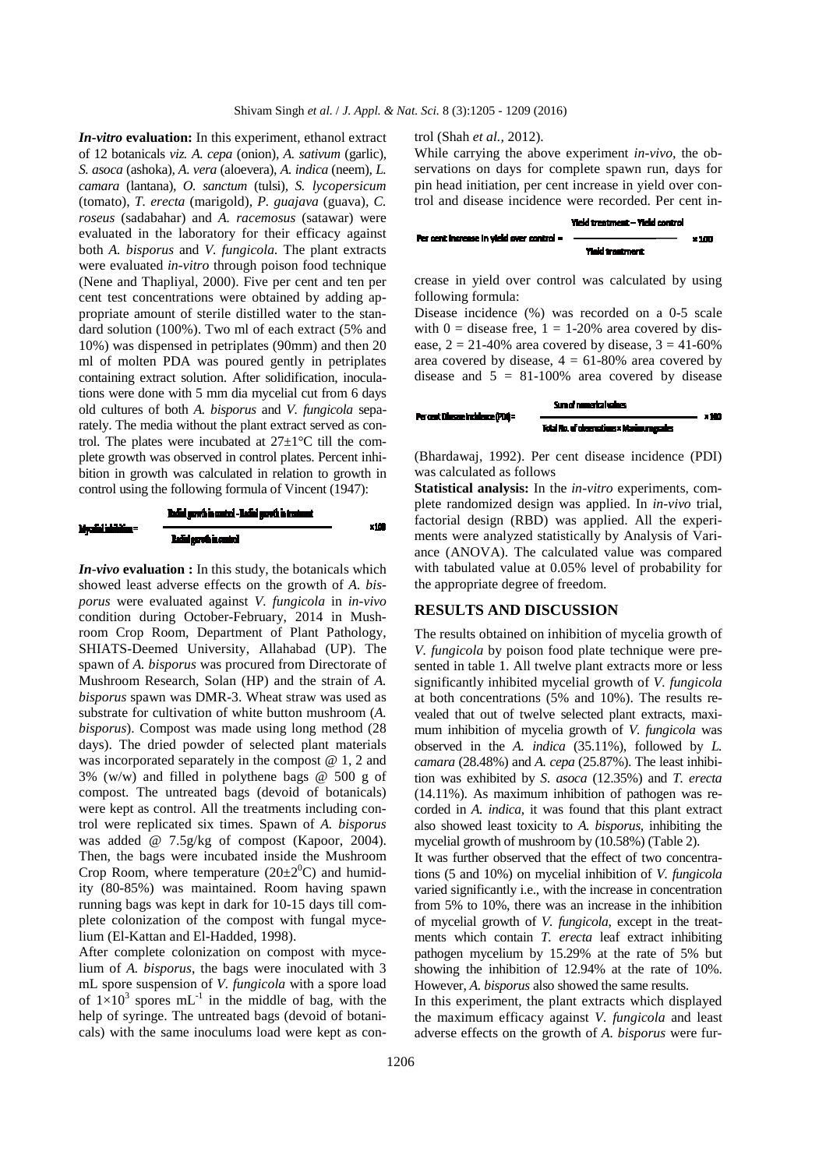*In-vitro* **evaluation:** In this experiment, ethanol extract of 12 botanicals *viz. A. cepa* (onion)*, A. sativum* (garlic)*, S. asoca* (ashoka)*, A. vera* (aloevera)*, A. indica* (neem)*, L. camara* (lantana)*, O. sanctum* (tulsi)*, S. lycopersicum*  (tomato), *T. erecta* (marigold)*, P. guajava* (guava)*, C. roseus* (sadabahar) and *A. racemosus* (satawar) were evaluated in the laboratory for their efficacy against both *A. bisporus* and *V. fungicola.* The plant extracts were evaluated *in-vitro* through poison food technique (Nene and Thapliyal, 2000). Five per cent and ten per cent test concentrations were obtained by adding appropriate amount of sterile distilled water to the standard solution (100%). Two ml of each extract (5% and 10%) was dispensed in petriplates (90mm) and then 20 ml of molten PDA was poured gently in petriplates containing extract solution. After solidification, inoculations were done with 5 mm dia mycelial cut from 6 days old cultures of both *A. bisporus* and *V. fungicola* separately. The media without the plant extract served as control. The plates were incubated at  $27\pm1\degree C$  till the complete growth was observed in control plates. Percent inhibition in growth was calculated in relation to growth in control using the following formula of Vincent (1947):



*In-vivo* **evaluation :** In this study, the botanicals which showed least adverse effects on the growth of *A. bisporus* were evaluated against *V. fungicola* in *in-vivo*  condition during October-February, 2014 in Mushroom Crop Room, Department of Plant Pathology, SHIATS-Deemed University, Allahabad (UP). The spawn of *A. bisporus* was procured from Directorate of Mushroom Research, Solan (HP) and the strain of *A. bisporus* spawn was DMR-3. Wheat straw was used as substrate for cultivation of white button mushroom (*A. bisporus*). Compost was made using long method (28 days). The dried powder of selected plant materials was incorporated separately in the compost @ 1, 2 and 3% (w/w) and filled in polythene bags @ 500 g of compost. The untreated bags (devoid of botanicals) were kept as control. All the treatments including control were replicated six times. Spawn of *A. bisporus*  was added @ 7.5g/kg of compost (Kapoor, 2004). Then, the bags were incubated inside the Mushroom Crop Room, where temperature  $(20\pm 2^0C)$  and humidity (80-85%) was maintained. Room having spawn running bags was kept in dark for 10-15 days till complete colonization of the compost with fungal mycelium (El-Kattan and El-Hadded, 1998).

After complete colonization on compost with mycelium of *A. bisporus*, the bags were inoculated with 3 mL spore suspension of *V. fungicola* with a spore load of  $1\times10^3$  spores mL<sup>-1</sup> in the middle of bag, with the help of syringe. The untreated bags (devoid of botanicals) with the same inoculums load were kept as control (Shah *et al.,* 2012).

While carrying the above experiment *in-vivo,* the observations on days for complete spawn run, days for pin head initiation, per cent increase in yield over control and disease incidence were recorded. Per cent in-



crease in yield over control was calculated by using following formula:

Disease incidence (%) was recorded on a 0-5 scale with  $0 =$  disease free,  $1 = 1-20\%$  area covered by disease,  $2 = 21 - 40\%$  area covered by disease,  $3 = 41 - 60\%$ area covered by disease,  $4 = 61-80\%$  area covered by disease and  $5 = 81-100%$  area covered by disease



(Bhardawaj, 1992). Per cent disease incidence (PDI) was calculated as follows

**Statistical analysis:** In the *in-vitro* experiments, complete randomized design was applied. In *in-vivo* trial, factorial design (RBD) was applied. All the experiments were analyzed statistically by Analysis of Variance (ANOVA). The calculated value was compared with tabulated value at 0.05% level of probability for the appropriate degree of freedom.

#### **RESULTS AND DISCUSSION**

The results obtained on inhibition of mycelia growth of *V. fungicola* by poison food plate technique were presented in table 1. All twelve plant extracts more or less significantly inhibited mycelial growth of *V. fungicola* at both concentrations (5% and 10%). The results revealed that out of twelve selected plant extracts, maximum inhibition of mycelia growth of *V. fungicola* was observed in the *A. indica* (35.11%), followed by *L. camara* (28.48%) and *A. cepa* (25.87%). The least inhibition was exhibited by *S. asoca* (12.35%) and *T. erecta* (14.11%). As maximum inhibition of pathogen was recorded in *A. indica*, it was found that this plant extract also showed least toxicity to *A. bisporus,* inhibiting the mycelial growth of mushroom by (10.58%) (Table 2).

It was further observed that the effect of two concentrations (5 and 10%) on mycelial inhibition of *V. fungicola* varied significantly i.e., with the increase in concentration from 5% to 10%, there was an increase in the inhibition of mycelial growth of *V. fungicola*, except in the treatments which contain *T. erecta* leaf extract inhibiting pathogen mycelium by 15.29% at the rate of 5% but showing the inhibition of 12.94% at the rate of 10%. However, *A. bisporus* also showed the same results.

In this experiment, the plant extracts which displayed the maximum efficacy against *V. fungicola* and least adverse effects on the growth of *A. bisporus* were fur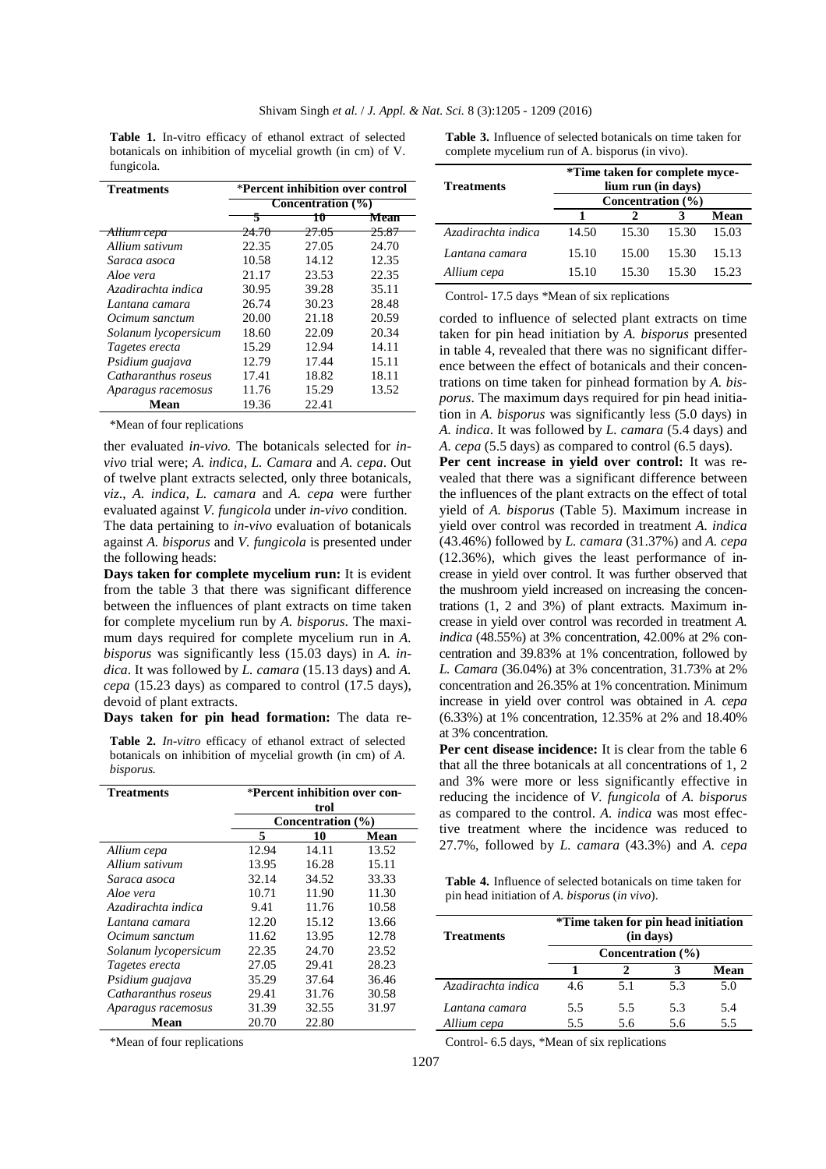**Table 1.** In-vitro efficacy of ethanol extract of selected botanicals on inhibition of mycelial growth (in cm) of V. fungicola.

**Table 3.** Influence of selected botanicals on time taken for complete mycelium run of A. bisporus (in vivo).

| <b>Treatments</b>      | *Percent inhibition over control |                  |                  |  |  |
|------------------------|----------------------------------|------------------|------------------|--|--|
|                        | Concentration (%)                |                  |                  |  |  |
|                        | 5                                | w                | Mean             |  |  |
| <del>Allium cepa</del> | <del>24.70</del>                 | <del>27.05</del> | <del>25.87</del> |  |  |
| Allium sativum         | 22.35                            | 27.05            | 24.70            |  |  |
| Saraca asoca           | 10.58                            | 14.12            | 12.35            |  |  |
| Aloe vera              | 21.17                            | 23.53            | 22.35            |  |  |
| Azadirachta indica     | 30.95                            | 39.28            | 35.11            |  |  |
| Lantana camara         | 26.74                            | 30.23            | 28.48            |  |  |
| Ocimum sanctum         | 20.00                            | 21.18            | 20.59            |  |  |
| Solanum lycopersicum   | 18.60                            | 22.09            | 20.34            |  |  |
| Tagetes erecta         | 15.29                            | 12.94            | 14.11            |  |  |
| Psidium guajava        | 12.79                            | 17.44            | 15.11            |  |  |
| Catharanthus roseus    | 17.41                            | 18.82            | 18.11            |  |  |
| Aparagus racemosus     | 11.76                            | 15.29            | 13.52            |  |  |
| Mean                   | 19.36                            | 22.41            |                  |  |  |

\*Mean of four replications

ther evaluated *in-vivo.* The botanicals selected for *invivo* trial were; *A. indica, L. Camara* and *A. cepa*. Out of twelve plant extracts selected, only three botanicals, *viz*., *A. indica, L. camara* and *A. cepa* were further evaluated against *V. fungicola* under *in-vivo* condition. The data pertaining to *in-vivo* evaluation of botanicals against *A. bisporus* and *V. fungicola* is presented under the following heads:

**Days taken for complete mycelium run:** It is evident from the table 3 that there was significant difference between the influences of plant extracts on time taken for complete mycelium run by *A. bisporus*. The maximum days required for complete mycelium run in *A. bisporus* was significantly less (15.03 days) in *A. indica*. It was followed by *L. camara* (15.13 days) and *A. cepa* (15.23 days) as compared to control (17.5 days), devoid of plant extracts.

**Days taken for pin head formation:** The data re-

**Table 2.** *In-vitro* efficacy of ethanol extract of selected botanicals on inhibition of mycelial growth (in cm) of *A. bisporus.* 

| <b>Treatments</b>    | *Percent inhibition over con- |                   |       |  |
|----------------------|-------------------------------|-------------------|-------|--|
|                      | trol                          |                   |       |  |
|                      |                               | Concentration (%) |       |  |
|                      | 5                             | 10                | Mean  |  |
| Allium cepa          | 12.94                         | 14.11             | 13.52 |  |
| Allium sativum       | 13.95                         | 16.28             | 15.11 |  |
| Saraca asoca         | 32.14                         | 34.52             | 33.33 |  |
| Aloe vera            | 10.71                         | 11.90             | 11.30 |  |
| Azadirachta indica   | 9.41                          | 11.76             | 10.58 |  |
| Lantana camara       | 12.20                         | 15.12             | 13.66 |  |
| Ocimum sanctum       | 11.62                         | 13.95             | 12.78 |  |
| Solanum lycopersicum | 22.35                         | 24.70             | 23.52 |  |
| Tagetes erecta       | 27.05                         | 29.41             | 28.23 |  |
| Psidium guajava      | 35.29                         | 37.64             | 36.46 |  |
| Catharanthus roseus  | 29.41                         | 31.76             | 30.58 |  |
| Aparagus racemosus   | 31.39                         | 32.55             | 31.97 |  |
| Mean                 | 20.70                         | 22.80             |       |  |

\*Mean of four replications

| <b>Treatments</b>  | *Time taken for complete myce-<br>lium run (in days)<br>Concentration $(\% )$ |       |       |       |  |
|--------------------|-------------------------------------------------------------------------------|-------|-------|-------|--|
|                    |                                                                               |       |       |       |  |
|                    | Mean                                                                          |       |       |       |  |
| Azadirachta indica | 14.50                                                                         | 15.30 | 15.30 | 15.03 |  |
| Lantana camara     | 15.10                                                                         | 15.00 | 15.30 | 15.13 |  |
| Allium cepa        | 15.10                                                                         | 15.30 | 15.30 | 15.23 |  |

Control- 17.5 days \*Mean of six replications

corded to influence of selected plant extracts on time taken for pin head initiation by *A. bisporus* presented in table 4, revealed that there was no significant difference between the effect of botanicals and their concentrations on time taken for pinhead formation by *A. bisporus*. The maximum days required for pin head initiation in *A. bisporus* was significantly less (5.0 days) in *A. indica*. It was followed by *L. camara* (5.4 days) and *A. cepa* (5.5 days) as compared to control (6.5 days).

**Per cent increase in yield over control:** It was revealed that there was a significant difference between the influences of the plant extracts on the effect of total yield of *A. bisporus* (Table 5). Maximum increase in yield over control was recorded in treatment *A. indica*  (43.46%) followed by *L. camara* (31.37%) and *A. cepa* (12.36%), which gives the least performance of increase in yield over control. It was further observed that the mushroom yield increased on increasing the concentrations (1, 2 and 3%) of plant extracts. Maximum increase in yield over control was recorded in treatment *A. indica* (48.55%) at 3% concentration, 42.00% at 2% concentration and 39.83% at 1% concentration, followed by *L. Camara* (36.04%) at 3% concentration, 31.73% at 2% concentration and 26.35% at 1% concentration. Minimum increase in yield over control was obtained in *A. cepa*  (6.33%) at 1% concentration, 12.35% at 2% and 18.40% at 3% concentration.

**Per cent disease incidence:** It is clear from the table 6 that all the three botanicals at all concentrations of 1, 2 and 3% were more or less significantly effective in reducing the incidence of *V. fungicola* of *A. bisporus*  as compared to the control. *A. indica* was most effective treatment where the incidence was reduced to 27.7%, followed by *L. camara* (43.3%) and *A. cepa* 

**Table 4.** Influence of selected botanicals on time taken for pin head initiation of *A. bisporus* (*in vivo*).

| <b>Treatments</b>  | <i>*Time taken for pin head initiation</i><br>(in days) |     |     |      |
|--------------------|---------------------------------------------------------|-----|-----|------|
|                    | Concentration (%)                                       |     |     |      |
|                    |                                                         |     |     | Mean |
| Azadirachta indica | 4.6                                                     | 5.1 | 5.3 | 5.0  |
| Lantana camara     | 5.5                                                     | 5.5 | 5.3 | 5.4  |
| Allium cepa        | 5.5                                                     | 5.6 | 5.6 | 5.5  |

Control- 6.5 days, \*Mean of six replications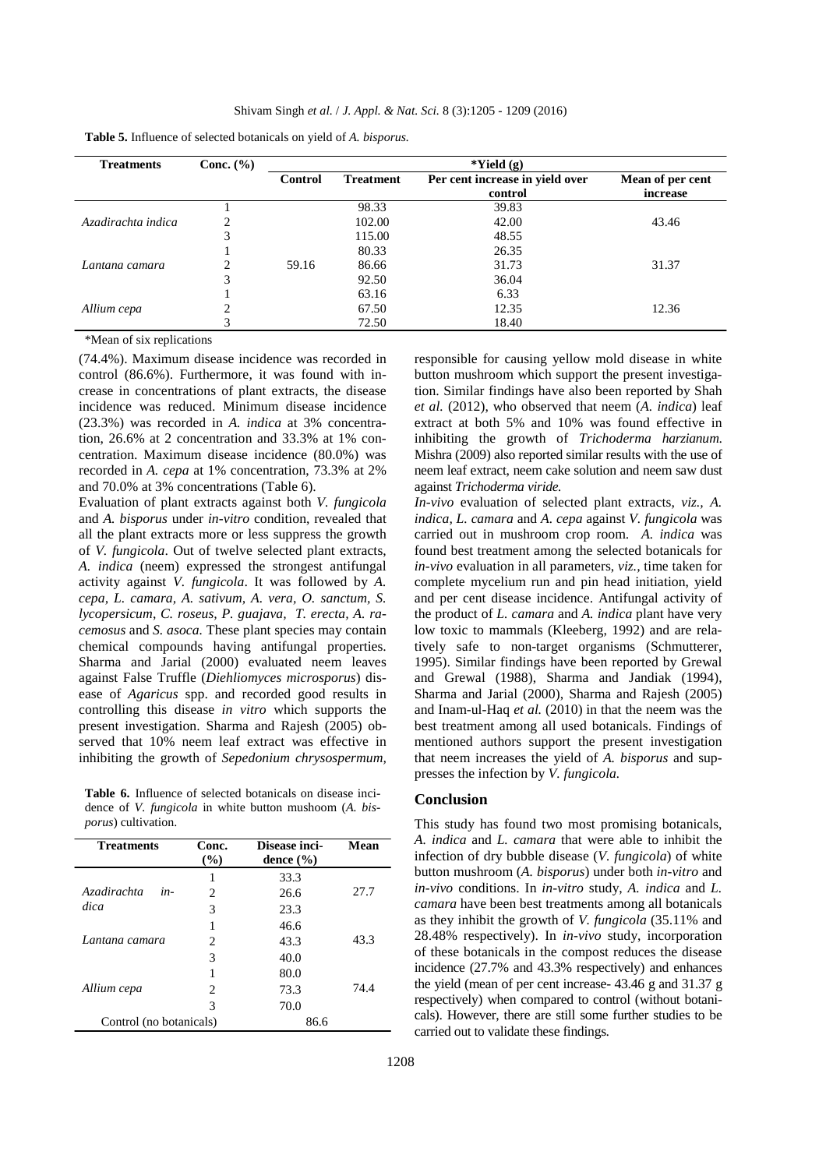| <b>Treatments</b>  | Conc. $(\% )$                 |                |                  | $*Yield(g)$                     |                  |
|--------------------|-------------------------------|----------------|------------------|---------------------------------|------------------|
|                    |                               | <b>Control</b> | <b>Treatment</b> | Per cent increase in yield over | Mean of per cent |
|                    |                               |                |                  | control                         | increase         |
|                    |                               |                | 98.33            | 39.83                           |                  |
| Azadirachta indica |                               |                | 102.00           | 42.00                           | 43.46            |
|                    |                               |                | 115.00           | 48.55                           |                  |
|                    |                               |                | 80.33            | 26.35                           |                  |
| Lantana camara     | $\mathfrak{D}_{\mathfrak{p}}$ | 59.16          | 86.66            | 31.73                           | 31.37            |
|                    | 3                             |                | 92.50            | 36.04                           |                  |
|                    |                               |                | 63.16            | 6.33                            |                  |
| Allium cepa        |                               |                | 67.50            | 12.35                           | 12.36            |
|                    | 3                             |                | 72.50            | 18.40                           |                  |

| <b>Table 5.</b> Influence of selected botanicals on yield of A. bisporus. |  |  |  |
|---------------------------------------------------------------------------|--|--|--|
|---------------------------------------------------------------------------|--|--|--|

\*Mean of six replications

(74.4%). Maximum disease incidence was recorded in control (86.6%). Furthermore, it was found with increase in concentrations of plant extracts, the disease incidence was reduced. Minimum disease incidence (23.3%) was recorded in *A. indica* at 3% concentration, 26.6% at 2 concentration and 33.3% at 1% concentration. Maximum disease incidence (80.0%) was recorded in *A. cepa* at 1% concentration, 73.3% at 2% and 70.0% at 3% concentrations (Table 6).

Evaluation of plant extracts against both *V. fungicola* and *A. bisporus* under *in-vitro* condition, revealed that all the plant extracts more or less suppress the growth of *V. fungicola*. Out of twelve selected plant extracts, *A. indica* (neem) expressed the strongest antifungal activity against *V. fungicola*. It was followed by *A. cepa, L. camara, A. sativum, A. vera, O. sanctum, S. lycopersicum*, *C. roseus, P. guajava, T. erecta, A. racemosus* and *S. asoca.* These plant species may contain chemical compounds having antifungal properties. Sharma and Jarial (2000) evaluated neem leaves against False Truffle (*Diehliomyces microsporus*) disease of *Agaricus* spp. and recorded good results in controlling this disease *in vitro* which supports the present investigation. Sharma and Rajesh (2005) observed that 10% neem leaf extract was effective in inhibiting the growth of *Sepedonium chrysospermum,* 

**Table 6.** Influence of selected botanicals on disease incidence of *V. fungicola* in white button mushoom (*A. bisporus*) cultivation.

| <b>Treatments</b>       | Conc.<br>$($ %)        | Disease inci-<br>dence $(\% )$ | Mean |
|-------------------------|------------------------|--------------------------------|------|
|                         | 1                      | 33.3                           |      |
| Azadirachta<br>in-      | 2                      | 26.6                           | 27.7 |
| dica                    | 3                      | 23.3                           |      |
|                         | 1                      | 46.6                           |      |
| Lantana camara          | $\mathfrak{D}_{\cdot}$ | 43.3                           | 43.3 |
|                         | 3                      | 40.0                           |      |
|                         | 1                      | 80.0                           |      |
| Allium cepa             | $\mathfrak{D}_{\cdot}$ | 73.3                           | 74.4 |
|                         | 3                      | 70.0                           |      |
| Control (no botanicals) |                        | 86.6                           |      |

responsible for causing yellow mold disease in white button mushroom which support the present investigation. Similar findings have also been reported by Shah *et al.* (2012), who observed that neem (*A. indica*) leaf extract at both 5% and 10% was found effective in inhibiting the growth of *Trichoderma harzianum*. Mishra (2009) also reported similar results with the use of neem leaf extract, neem cake solution and neem saw dust against *Trichoderma viride.* 

*In-vivo* evaluation of selected plant extracts, *viz., A. indica, L. camara* and *A. cepa* against *V. fungicola* was carried out in mushroom crop room. *A. indica* was found best treatment among the selected botanicals for *in-vivo* evaluation in all parameters, *viz.,* time taken for complete mycelium run and pin head initiation, yield and per cent disease incidence. Antifungal activity of the product of *L. camara* and *A. indica* plant have very low toxic to mammals (Kleeberg, 1992) and are relatively safe to non-target organisms (Schmutterer, 1995). Similar findings have been reported by Grewal and Grewal (1988), Sharma and Jandiak (1994), Sharma and Jarial (2000), Sharma and Rajesh (2005) and Inam-ul-Haq *et al.* (2010) in that the neem was the best treatment among all used botanicals. Findings of mentioned authors support the present investigation that neem increases the yield of *A. bisporus* and suppresses the infection by *V. fungicola.* 

### **Conclusion**

This study has found two most promising botanicals, *A. indica* and *L. camara* that were able to inhibit the infection of dry bubble disease (*V. fungicola*) of white button mushroom (*A. bisporus*) under both *in-vitro* and *in-vivo* conditions. In *in-vitro* study, *A. indica* and *L. camara* have been best treatments among all botanicals as they inhibit the growth of *V. fungicola* (35.11% and 28.48% respectively). In *in-vivo* study, incorporation of these botanicals in the compost reduces the disease incidence (27.7% and 43.3% respectively) and enhances the yield (mean of per cent increase- 43.46 g and 31.37 g respectively) when compared to control (without botanicals). However, there are still some further studies to be carried out to validate these findings.